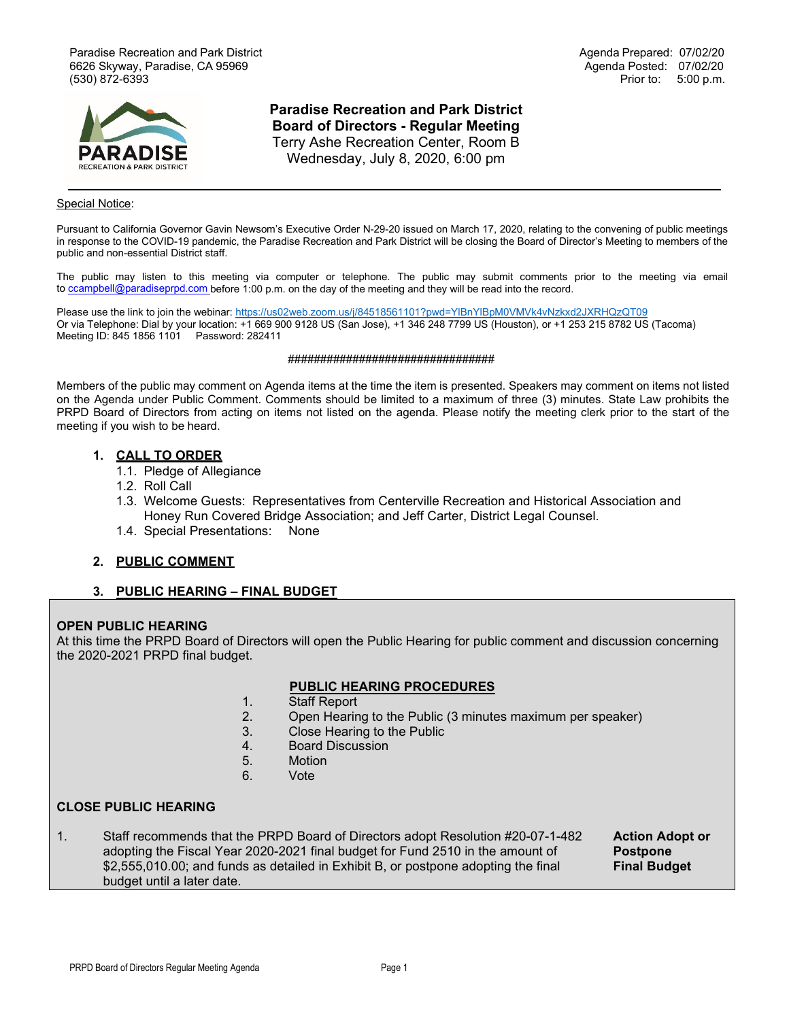Paradise Recreation and Park District Agenda Prepared: 07/02/20 6626 Skyway, Paradise, CA 95969 (530) 872-6393 Prior to: 5:00 p.m.



**Paradise Recreation and Park District Board of Directors - Regular Meeting**  Terry Ashe Recreation Center, Room B Wednesday, July 8, 2020, 6:00 pm

#### Special Notice:

Pursuant to California Governor Gavin Newsom's Executive Order N-29-20 issued on March 17, 2020, relating to the convening of public meetings in response to the COVID-19 pandemic, the Paradise Recreation and Park District will be closing the Board of Director's Meeting to members of the public and non-essential District staff.

The public may listen to this meeting via computer or telephone. The public may submit comments prior to the meeting via email to [ccampbell@paradiseprpd.com](mailto:ccampbell@paradiseprpd.com%C2%A0) before 1:00 p.m. on the day of the meeting and they will be read into the record.

Please use the link to join the webinar: <https://us02web.zoom.us/j/84518561101?pwd=YlBnYlBpM0VMVk4vNzkxd2JXRHQzQT09> Or via Telephone: Dial by your location: +1 669 900 9128 US (San Jose), +1 346 248 7799 US (Houston), or +1 253 215 8782 US (Tacoma) Meeting ID: 845 1856 1101 Password: 282411

#### ################################

Members of the public may comment on Agenda items at the time the item is presented. Speakers may comment on items not listed on the Agenda under Public Comment. Comments should be limited to a maximum of three (3) minutes. State Law prohibits the PRPD Board of Directors from acting on items not listed on the agenda. Please notify the meeting clerk prior to the start of the meeting if you wish to be heard.

#### **1. CALL TO ORDER**

- 1.1. Pledge of Allegiance
- 1.2. Roll Call
- 1.3. Welcome Guests: Representatives from Centerville Recreation and Historical Association and Honey Run Covered Bridge Association; and Jeff Carter, District Legal Counsel.
- 1.4. Special Presentations: None

### **2. PUBLIC COMMENT**

### **3. PUBLIC HEARING – FINAL BUDGET**

#### **OPEN PUBLIC HEARING**

At this time the PRPD Board of Directors will open the Public Hearing for public comment and discussion concerning the 2020-2021 PRPD final budget.

#### **PUBLIC HEARING PROCEDURES**

- 1. Staff Report<br>2. Open Hearin
	- Open Hearing to the Public (3 minutes maximum per speaker)
- 3. Close Hearing to the Public
- 4. Board Discussion
- 5. Motion
- 6. Vote

### **CLOSE PUBLIC HEARING**

1. Staff recommends that the PRPD Board of Directors adopt Resolution #20-07-1-482 **Action Adopt or** adopting the Fiscal Year 2020-2021 final budget for Fund 2510 in the amount of \$2,555,010.00; and funds as detailed in Exhibit B, or postpone adopting the final **Final Budget** budget until a later date.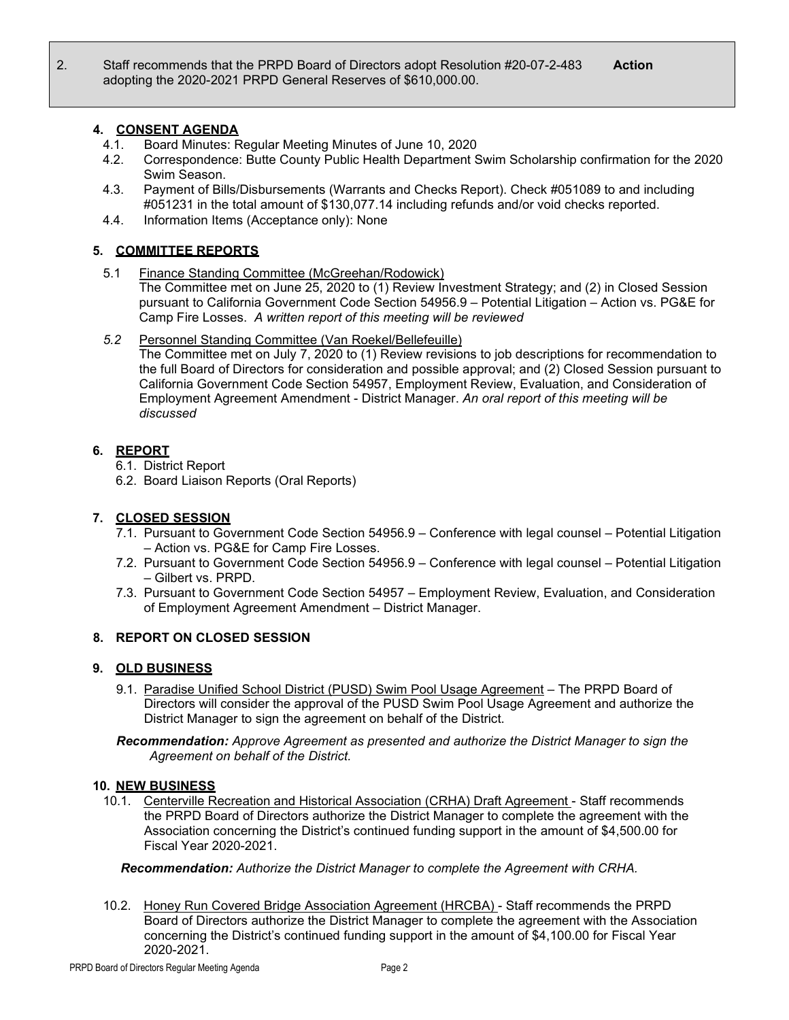## **4. CONSENT AGENDA**

- 4.1. Board Minutes: Regular Meeting Minutes of June 10, 2020
- 4.2. Correspondence: Butte County Public Health Department Swim Scholarship confirmation for the 2020 Swim Season.
- 4.3. Payment of Bills/Disbursements (Warrants and Checks Report). Check #051089 to and including #051231 in the total amount of \$130,077.14 including refunds and/or void checks reported.
- 4.4. Information Items (Acceptance only): None

# **5. COMMITTEE REPORTS**

5.1 Finance Standing Committee (McGreehan/Rodowick)

The Committee met on June 25, 2020 to (1) Review Investment Strategy; and (2) in Closed Session pursuant to California Government Code Section 54956.9 – Potential Litigation – Action vs. PG&E for Camp Fire Losses. *A written report of this meeting will be reviewed*

## *5.2* Personnel Standing Committee (Van Roekel/Bellefeuille)

The Committee met on July 7, 2020 to (1) Review revisions to job descriptions for recommendation to the full Board of Directors for consideration and possible approval; and (2) Closed Session pursuant to California Government Code Section 54957, Employment Review, Evaluation, and Consideration of Employment Agreement Amendment - District Manager. *An oral report of this meeting will be discussed*

## **6. REPORT**

- 6.1. District Report
- 6.2. Board Liaison Reports (Oral Reports)

## **7. CLOSED SESSION**

- 7.1. Pursuant to Government Code Section 54956.9 Conference with legal counsel Potential Litigation – Action vs. PG&E for Camp Fire Losses.
- 7.2. Pursuant to Government Code Section 54956.9 Conference with legal counsel Potential Litigation – Gilbert vs. PRPD.
- 7.3. Pursuant to Government Code Section 54957 Employment Review, Evaluation, and Consideration of Employment Agreement Amendment – District Manager.

# **8. REPORT ON CLOSED SESSION**

## **9. OLD BUSINESS**

9.1. Paradise Unified School District (PUSD) Swim Pool Usage Agreement – The PRPD Board of Directors will consider the approval of the PUSD Swim Pool Usage Agreement and authorize the District Manager to sign the agreement on behalf of the District.

*Recommendation: Approve Agreement as presented and authorize the District Manager to sign the Agreement on behalf of the District.*

## **10. NEW BUSINESS**

10.1. Centerville Recreation and Historical Association (CRHA) Draft Agreement - Staff recommends the PRPD Board of Directors authorize the District Manager to complete the agreement with the Association concerning the District's continued funding support in the amount of \$4,500.00 for Fiscal Year 2020-2021.

## *Recommendation: Authorize the District Manager to complete the Agreement with CRHA.*

10.2. Honey Run Covered Bridge Association Agreement (HRCBA) - Staff recommends the PRPD Board of Directors authorize the District Manager to complete the agreement with the Association concerning the District's continued funding support in the amount of \$4,100.00 for Fiscal Year 2020-2021.